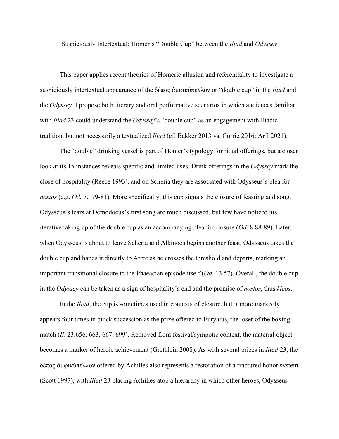Suspiciously Intertextual: Homer's "Double Cup" between the *Iliad* and *Odyssey*

This paper applies recent theories of Homeric allusion and referentiality to investigate a suspiciously intertextual appearance of the δέπας ἀμφικύπελλον or "double cup" in the *Iliad* and the *Odyssey*. I propose both literary and oral performative scenarios in which audiences familiar with *Iliad* 23 could understand the *Odyssey*'s "double cup" as an engagement with Iliadic tradition, but not necessarily a textualized *Iliad* (cf. Bakker 2013 vs. Currie 2016; Arft 2021).

The "double" drinking vessel is part of Homer's typology for ritual offerings, but a closer look at its 15 instances reveals specific and limited uses. Drink offerings in the *Odyssey* mark the close of hospitality (Reece 1993), and on Scheria they are associated with Odysseus's plea for *nostos* (e.g. *Od.* 7.179-81). More specifically, this cup signals the closure of feasting and song. Odysseus's tears at Demodocus's first song are much discussed, but few have noticed his iterative taking up of the double cup as an accompanying plea for closure (*Od.* 8.88-89). Later, when Odysseus is about to leave Scheria and Alkinoos begins another feast, Odysseus takes the double cup and hands it directly to Arete as he crosses the threshold and departs, marking an important transitional closure to the Phaeacian episode itself (*Od.* 13.57). Overall, the double cup in the *Odyssey* can be taken as a sign of hospitality's end and the promise of *nostos*, thus *kleos*.

In the *Iliad*, the cup is sometimes used in contexts of closure, but it more markedly appears four times in quick succession as the prize offered to Euryalus, the loser of the boxing match (*Il*. 23.656, 663, 667, 699). Removed from festival/sympotic context, the material object becomes a marker of heroic achievement (Grethlein 2008)*.* As with several prizes in *Iliad* 23, the δέπας ἀμφικύπελλον offered by Achilles also represents a restoration of a fractured honor system (Scott 1997), with *Iliad* 23 placing Achilles atop a hierarchy in which other heroes, Odysseus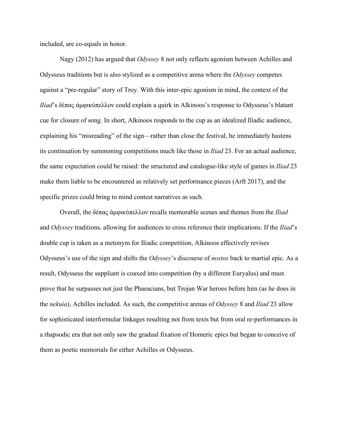included, are co-equals in honor.

Nagy (2012) has argued that *Odyssey* 8 not only reflects agonism between Achilles and Odysseus traditions but is also stylized as a competitive arena where the *Odyssey* competes against a "pre-regular" story of Troy. With this inter-epic agonism in mind, the context of the *Iliad*'s δέπας ἀμφικύπελλον could explain a quirk in Alkinoos's response to Odysseus's blatant cue for closure of song. In short, Alkinoos responds to the cup as an idealized Iliadic audience, explaining his "misreading" of the sign—rather than close the festival, he immediately hastens its continuation by summoning competitions much like those in *Iliad* 23. For an actual audience, the same expectation could be raised: the structured and catalogue-like style of games in *Iliad* 23 make them liable to be encountered as relatively set performance pieces (Arft 2017), and the specific prizes could bring to mind contest narratives as such.

Overall, the δέπας ἀμφικύπελλον recalls memorable scenes and themes from the *Iliad*  and *Odyssey* traditions*,* allowing for audiences to cross reference their implications. If the *Iliad*'s double cup is taken as a metonym for Iliadic competition, Alkinoos effectively revises Odysseus's use of the sign and shifts the *Odyssey*'s discourse of *nostos* back to martial epic. As a result, Odysseus the suppliant is coaxed into competition (by a different Euryalus) and must prove that he surpasses not just the Phaeacians, but Trojan War heroes before him (as he does in the *nekuia*), Achilles included. As such, the competitive arenas of *Odyssey* 8 and *Iliad* 23 allow for sophisticated interformular linkages resulting not from texts but from oral re-performances in a rhapsodic era that not only saw the gradual fixation of Homeric epics but began to conceive of them as poetic memorials for either Achilles or Odysseus.